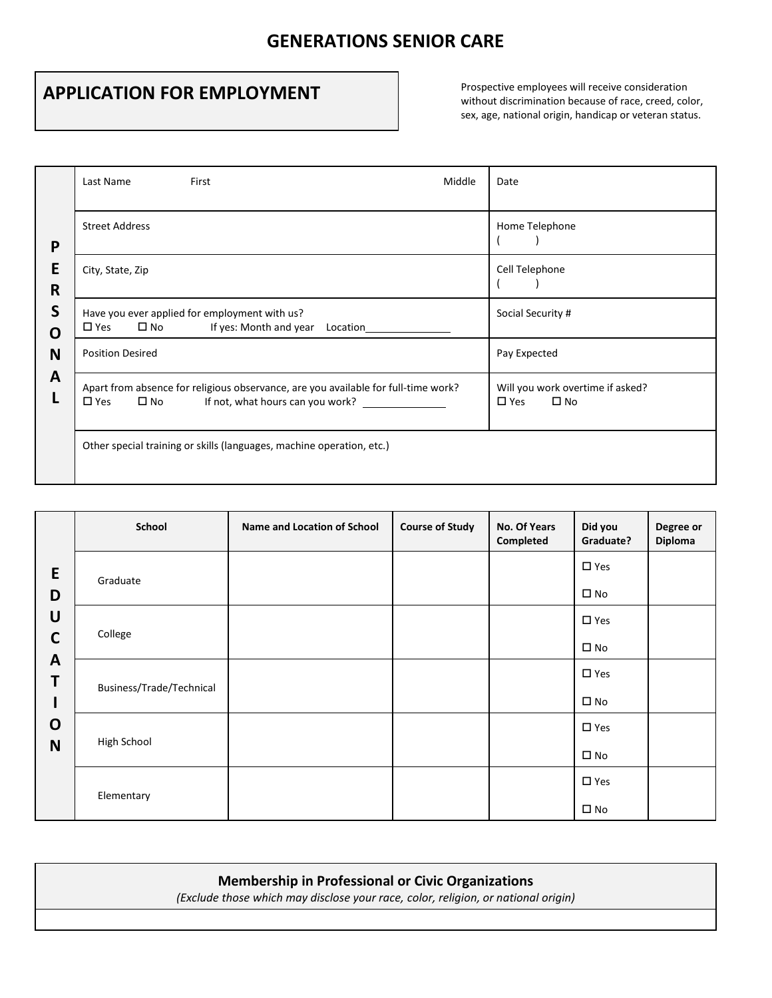## **GENERATIONS SENIOR CARE**

## **APPLICATION FOR EMPLOYMENT**

without discrimination because of race, creed, color, sex, age, national origin, handicap or veteran status.

|                  | First<br>Middle<br>Last Name                                                                                                                                            | Date                                                              |
|------------------|-------------------------------------------------------------------------------------------------------------------------------------------------------------------------|-------------------------------------------------------------------|
| P                | <b>Street Address</b>                                                                                                                                                   | Home Telephone                                                    |
| E<br>R           | City, State, Zip                                                                                                                                                        | Cell Telephone                                                    |
| S<br>O<br>N<br>A | Have you ever applied for employment with us?<br>$\square$ Yes<br>$\square$ No<br>If yes: Month and year<br>Location                                                    | Social Security #                                                 |
|                  | <b>Position Desired</b>                                                                                                                                                 | Pay Expected                                                      |
|                  | Apart from absence for religious observance, are you available for full-time work?<br>$\square$ No<br>If not, what hours can you work? _______________<br>$\square$ Yes | Will you work overtime if asked?<br>$\square$ Yes<br>$\square$ No |
|                  | Other special training or skills (languages, machine operation, etc.)                                                                                                   |                                                                   |

| E                                                         | School                   | <b>Name and Location of School</b> | <b>Course of Study</b> | No. Of Years<br>Completed | Did you<br>Graduate? | Degree or<br>Diploma |
|-----------------------------------------------------------|--------------------------|------------------------------------|------------------------|---------------------------|----------------------|----------------------|
|                                                           | Graduate                 |                                    |                        |                           | $\square$ Yes        |                      |
| D                                                         |                          |                                    |                        |                           | $\square$ No         |                      |
| U<br>$\mathbf C$<br>$\mathbf{A}$<br>Τ<br>$\mathbf 0$<br>N | College                  |                                    |                        |                           | $\square$ Yes        |                      |
|                                                           |                          |                                    |                        |                           | $\square$ No         |                      |
|                                                           | Business/Trade/Technical |                                    |                        |                           | $\square$ Yes        |                      |
|                                                           |                          |                                    |                        |                           | $\square$ No         |                      |
|                                                           | High School              |                                    |                        |                           | $\square$ Yes        |                      |
|                                                           |                          |                                    |                        |                           | $\square$ No         |                      |
|                                                           | Elementary               |                                    |                        |                           | $\square$ Yes        |                      |
|                                                           |                          |                                    |                        |                           | $\square$ No         |                      |

## **Membership in Professional or Civic Organizations**

*(Exclude those which may disclose your race, color, religion, or national origin)*